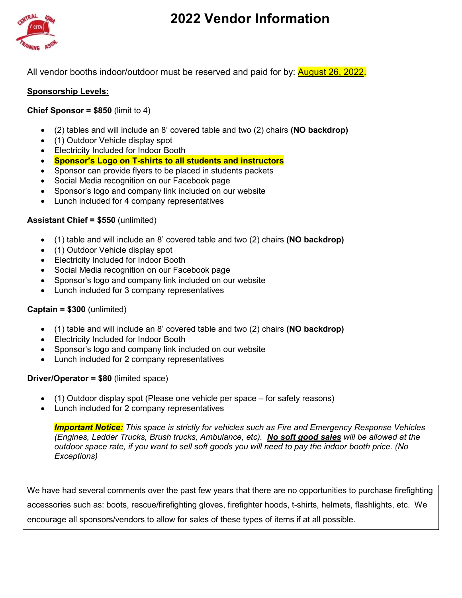

All vendor booths indoor/outdoor must be reserved and paid for by: **August 26, 2022.** 

# **Sponsorship Levels:**

## **Chief Sponsor = \$850** (limit to 4)

- (2) tables and will include an 8' covered table and two (2) chairs **(NO backdrop)**
- (1) Outdoor Vehicle display spot
- Electricity Included for Indoor Booth
- **Sponsor's Logo on T-shirts to all students and instructors**
- Sponsor can provide flyers to be placed in students packets
- Social Media recognition on our Facebook page
- Sponsor's logo and company link included on our website
- Lunch included for 4 company representatives

## **Assistant Chief = \$550** (unlimited)

- (1) table and will include an 8' covered table and two (2) chairs **(NO backdrop)**
- (1) Outdoor Vehicle display spot
- Electricity Included for Indoor Booth
- Social Media recognition on our Facebook page
- Sponsor's logo and company link included on our website
- Lunch included for 3 company representatives

#### **Captain = \$300** (unlimited)

- (1) table and will include an 8' covered table and two (2) chairs **(NO backdrop)**
- Electricity Included for Indoor Booth
- Sponsor's logo and company link included on our website
- Lunch included for 2 company representatives

#### **Driver/Operator = \$80** (limited space)

- (1) Outdoor display spot (Please one vehicle per space for safety reasons)
- Lunch included for 2 company representatives

*Important Notice: This space is strictly for vehicles such as Fire and Emergency Response Vehicles (Engines, Ladder Trucks, Brush trucks, Ambulance, etc). No soft good sales will be allowed at the outdoor space rate, if you want to sell soft goods you will need to pay the indoor booth price. (No Exceptions)* 

We have had several comments over the past few years that there are no opportunities to purchase firefighting accessories such as: boots, rescue/firefighting gloves, firefighter hoods, t-shirts, helmets, flashlights, etc. We encourage all sponsors/vendors to allow for sales of these types of items if at all possible.